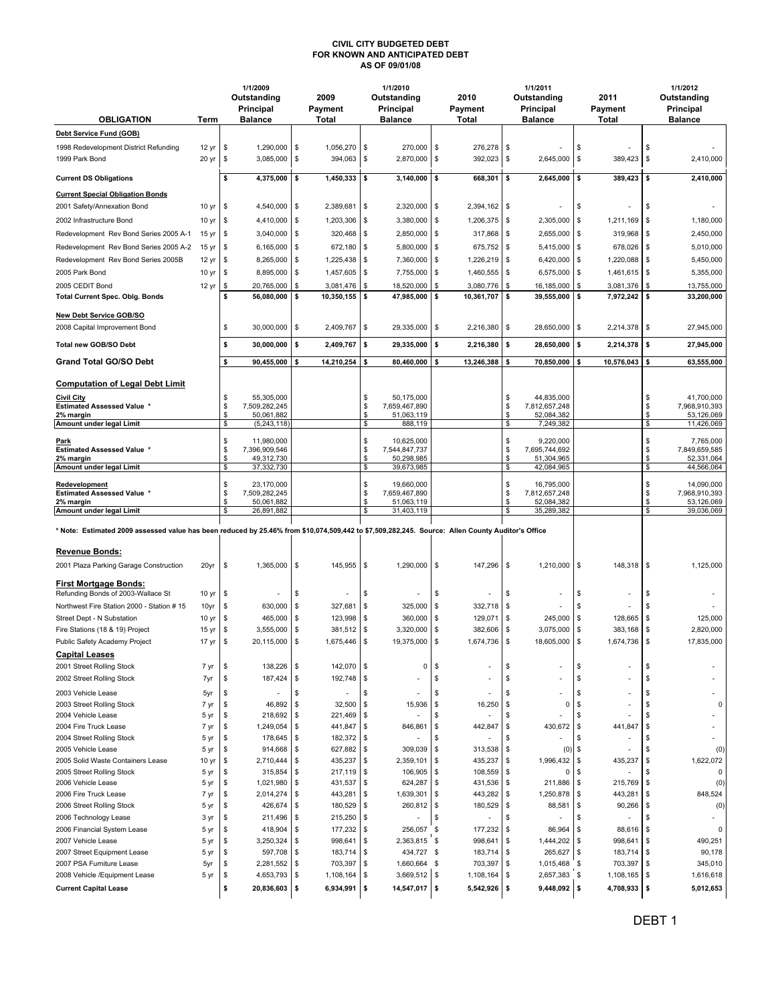## CIVIL CITY BUDGETED DEBT FOR KNOWN AND ANTICIPATED DEBT AS OF 09/01/08

| <b>OBLIGATION</b>                                                                                                                                | Term             |          | 1/1/2009<br>Outstanding<br>Principal<br><b>Balance</b> |            | 2009<br>Payment<br>Total |            | 1/1/2010<br>Outstanding<br>Principal<br><b>Balance</b> |         | 2010<br>Payment<br>Total  |          | 1/1/2011<br>Outstanding<br>Principal<br><b>Balance</b> |                   | 2011<br>Payment<br>Total |          | 1/1/2012<br>Outstanding<br>Principal<br><b>Balance</b> |
|--------------------------------------------------------------------------------------------------------------------------------------------------|------------------|----------|--------------------------------------------------------|------------|--------------------------|------------|--------------------------------------------------------|---------|---------------------------|----------|--------------------------------------------------------|-------------------|--------------------------|----------|--------------------------------------------------------|
| Debt Service Fund (GOB)                                                                                                                          |                  |          |                                                        |            |                          |            |                                                        |         |                           |          |                                                        |                   |                          |          |                                                        |
| 1998 Redevelopment District Refunding                                                                                                            | 12 yr            | \$       | 1,290,000                                              | \$         | 1,056,270                | \$         | 270,000                                                | \$      | 276,278                   | \$       |                                                        | \$                |                          | \$       |                                                        |
| 1999 Park Bond                                                                                                                                   | 20 yr            | \$       | 3,085,000                                              | \$         | 394,063                  | \$         | 2,870,000                                              | \$      | 392,023                   | \$       | 2,645,000                                              | \$                | 389,423                  | \$       | 2,410,000                                              |
| <b>Current DS Obligations</b>                                                                                                                    |                  | \$       | 4,375,000                                              | \$         | 1,450,333                | \$         | 3,140,000                                              | \$      | 668,301                   | 5        | 2,645,000                                              | \$                | 389,423                  | \$       | 2,410,000                                              |
| <b>Current Special Obligation Bonds</b>                                                                                                          |                  |          |                                                        |            |                          |            |                                                        |         |                           |          |                                                        |                   |                          |          |                                                        |
| 2001 Safety/Annexation Bond                                                                                                                      | 10 yr            | \$       | 4,540,000                                              | $\sqrt{3}$ | 2,389,681                | \$         | 2,320,000                                              | \$      | 2,394,162 \$              |          |                                                        | \$                |                          | \$       |                                                        |
| 2002 Infrastructure Bond                                                                                                                         | 10 yr            | \$       | 4,410,000                                              | \$         | 1,203,306                | \$         | 3,380,000                                              | -\$     | $1,206,375$ \$            |          | 2,305,000                                              | -\$               | 1,211,169                | -\$      | 1,180,000                                              |
| Redevelopment Rev Bond Series 2005 A-1                                                                                                           | 15 yr            | \$       | 3,040,000                                              | \$         | 320,468                  | \$         | 2,850,000                                              | \$      | 317,868 \$                |          | 2,655,000                                              | <b>S</b>          | $319,968$ \$             |          | 2,450,000                                              |
| Redevelopment Rev Bond Series 2005 A-2                                                                                                           | 15 yr            | \$       | 6,165,000                                              | \$         | 672,180                  | $\sqrt{3}$ | 5,800,000                                              | \$      | 675,752 \$                |          | $5,415,000$ \$                                         |                   | 678,026 \$               |          | 5,010,000                                              |
| Redevelopment Rev Bond Series 2005B                                                                                                              | 12 yr            | \$       | 8,265,000                                              | \$         | 1,225,438                | \$         | 7,360,000                                              | \$      | $1,226,219$ \$            |          | 6,420,000                                              | \$                | 1,220,088                | \$       | 5,450,000                                              |
| 2005 Park Bond                                                                                                                                   | 10 yr            | \$       | 8,895,000                                              | \$         | 1,457,605                | \$         | 7,755,000                                              | \$      | 1,460,555                 | <b>S</b> | 6,575,000                                              | -\$               | $1,461,615$ \$           |          | 5,355,000                                              |
| 2005 CEDIT Bond                                                                                                                                  | 12 yr            | \$       | 20,765,000                                             | \$         | 3,081,476                | \$         | 18,520,000                                             | \$      | 3,080,776                 | \$       | 16,185,000                                             | \$                | 3,081,376                | \$       | 13,755,000                                             |
| <b>Total Current Spec. Oblg. Bonds</b>                                                                                                           |                  | \$       | 56,080,000                                             | 5          | 10,350,155               | \$         | 47,985,000                                             | \$      | 10,361,707                | \$       | 39,555,000                                             | \$                | 7,972,242 \$             |          | 33,200,000                                             |
| <b>New Debt Service GOB/SO</b><br>2008 Capital Improvement Bond                                                                                  |                  | \$       | 30,000,000                                             | $\sqrt{3}$ | 2,409,767                | \$         | 29,335,000                                             | \$      | 2,216,380 \$              |          | 28,650,000                                             | \$                | 2,214,378 \$             |          | 27,945,000                                             |
| Total new GOB/SO Debt                                                                                                                            |                  | \$       | 30,000,000                                             | \$         | 2,409,767                | \$         | 29,335,000                                             | \$      | 2,216,380                 | \$       | 28,650,000                                             | \$                | 2,214,378                | \$       | 27,945,000                                             |
| <b>Grand Total GO/SO Debt</b>                                                                                                                    |                  | \$       | 90,455,000                                             | \$         | 14,210,254               | \$         | 80,460,000                                             | \$      | 13,246,388                | 5        | 70,850,000                                             | \$                | 10,576,043               | \$       | 63,555,000                                             |
| <b>Computation of Legal Debt Limit</b>                                                                                                           |                  |          |                                                        |            |                          |            |                                                        |         |                           |          |                                                        |                   |                          |          |                                                        |
| <b>Civil City</b>                                                                                                                                |                  | \$       | 55,305,000                                             |            |                          | \$         | 50,175,000                                             |         |                           | \$       | 44,835,000                                             |                   |                          | \$       | 41,700,000                                             |
| <b>Estimated Assessed Value *</b><br>2% margin                                                                                                   |                  | \$<br>\$ | 7,509,282,245<br>50,061,882                            |            |                          | \$<br>\$   | 7,659,467,890<br>51,063,119                            |         |                           | \$<br>\$ | 7,812,657,248<br>52,084,382                            |                   |                          | \$<br>\$ | 7,968,910,393<br>53,126,069                            |
| Amount under legal Limit                                                                                                                         |                  | \$       | (5, 243, 118)                                          |            |                          | \$         | 888,119                                                |         |                           | \$       | 7,249,382                                              |                   |                          | \$       | 11,426,069                                             |
| Park                                                                                                                                             |                  | \$       | 11,980,000                                             |            |                          | \$         | 10,625,000                                             |         |                           | \$       | 9,220,000                                              |                   |                          | \$       | 7,765,000                                              |
| <b>Estimated Assessed Value *</b>                                                                                                                |                  | \$       | 7,396,909,546                                          |            |                          | \$         | 7,544,847,737                                          |         |                           | \$       | 7,695,744,692                                          |                   |                          | \$       | 7,849,659,585                                          |
| 2% margin<br>Amount under legal Limit                                                                                                            |                  | \$<br>\$ | 49,312,730<br>37,332,730                               |            |                          | \$<br>\$   | 50,298,985<br>39,673,985                               |         |                           | \$<br>\$ | 51,304,965<br>42,084,965                               |                   |                          | \$<br>\$ | 52,331,064<br>44,566,064                               |
|                                                                                                                                                  |                  |          |                                                        |            |                          |            |                                                        |         |                           |          |                                                        |                   |                          |          |                                                        |
| Redevelopment<br><b>Estimated Assessed Value *</b>                                                                                               |                  | \$<br>\$ | 23,170,000<br>7,509,282,245                            |            |                          | \$<br>\$   | 19,660,000<br>7,659,467,890                            |         |                           | \$<br>\$ | 16,795,000<br>7,812,657,248                            |                   |                          | \$<br>\$ | 14,090,000<br>7,968,910,393                            |
| 2% margin                                                                                                                                        |                  | \$       | 50,061,882                                             |            |                          | \$         | 51,063,119                                             |         |                           | \$       | 52,084,382                                             |                   |                          | \$       | 53,126,069                                             |
| Amount under legal Limit                                                                                                                         |                  | \$       | 26,891,882                                             |            |                          | \$         | 31,403,119                                             |         |                           | \$       | 35,289,382                                             |                   |                          | \$       | 39,036,069                                             |
| * Note: Estimated 2009 assessed value has been reduced by 25.46% from \$10,074,509,442 to \$7,509,282,245. Source: Allen County Auditor's Office |                  |          |                                                        |            |                          |            |                                                        |         |                           |          |                                                        |                   |                          |          |                                                        |
| <b>Revenue Bonds:</b>                                                                                                                            |                  |          |                                                        |            |                          |            |                                                        |         |                           |          |                                                        |                   |                          |          |                                                        |
| 2001 Plaza Parking Garage Construction                                                                                                           | 20yr             | \$       | $1,365,000$ \$                                         |            | 145,955                  | \$         | 1,290,000                                              | \$      | 147,296 \$                |          | $1,210,000$ \$                                         |                   | 148,318 \$               |          | 1,125,000                                              |
|                                                                                                                                                  |                  |          |                                                        |            |                          |            |                                                        |         |                           |          |                                                        |                   |                          |          |                                                        |
| <b>First Mortgage Bonds:</b><br>Refunding Bonds of 2003-Wallace St                                                                               | 10 yr            | \$       |                                                        | \$         |                          | \$         |                                                        | \$      |                           | \$       | ٠                                                      | \$                |                          | \$       |                                                        |
| Northwest Fire Station 2000 - Station # 15                                                                                                       | 10yr             | \$       | 630,000                                                | \$         | 327,681                  | \$         | 325,000                                                | \$      | 332,718                   | \$       |                                                        | £.                |                          | \$       |                                                        |
| Street Dept - N Substation                                                                                                                       | 10 <sub>yr</sub> | \$       | 465,000                                                | \$         | 123,998                  | \$         | 360,000                                                | \$      | 129,071                   | \$       | 245,000                                                | \$                | 128,665                  | \$       | 125,000                                                |
| Fire Stations (18 & 19) Project                                                                                                                  | 15 <sub>yr</sub> | \$       | 3,555,000                                              | \$         | 381,512                  | \$         | 3,320,000                                              | \$      | 382,606 \$                |          | 3,075,000                                              | -\$               | 383,168                  | \$       | 2,820,000                                              |
| Public Safety Academy Project                                                                                                                    | 17 yr            | \$       | 20,115,000                                             | \$         | 1,675,446                | \$         | 19,375,000                                             | \$      | 1,674,736                 | \$       | 18,605,000                                             | \$                | 1,674,736                | \$       | 17,835,000                                             |
| <b>Capital Leases</b>                                                                                                                            |                  |          |                                                        |            |                          |            |                                                        |         |                           |          |                                                        |                   |                          |          |                                                        |
| 2001 Street Rolling Stock                                                                                                                        | 7 yr             | \$       | 138,226                                                | \$         | 142,070                  | \$         | 0                                                      | \$      |                           | \$       |                                                        | \$                |                          | \$       |                                                        |
| 2002 Street Rolling Stock                                                                                                                        | 7yr              | \$       | 187,424                                                | \$         | 192,748                  | \$         |                                                        | \$      | ٠                         | \$       |                                                        | \$                |                          | \$       |                                                        |
| 2003 Vehicle Lease                                                                                                                               | 5yr              | \$       |                                                        | \$         |                          | S          |                                                        | \$      |                           | \$       |                                                        | \$                |                          | \$       |                                                        |
| 2003 Street Rolling Stock                                                                                                                        | 7 yr             | \$       | 46,892                                                 | \$         | 32,500                   | \$         | 15,936                                                 | \$      | 16,250                    | \$       | O                                                      | \$                |                          | \$       | $\Omega$                                               |
| 2004 Vehicle Lease<br>2004 Fire Truck Lease                                                                                                      | 5 yr<br>7 yr     | \$<br>\$ | 218,692<br>1,249,054                                   | \$<br>\$   | 221,469<br>441,847       | \$<br>\$   | 846,861                                                | S<br>\$ | $\overline{a}$<br>442,847 | \$<br>\$ | 430,672                                                | \$<br>-\$         | 441,847                  | \$<br>\$ |                                                        |
| 2004 Street Rolling Stock                                                                                                                        | 5 yr             | \$       | 178,645                                                | \$         | 182,372                  | \$         |                                                        | S       |                           | \$       |                                                        | \$                |                          | \$       |                                                        |
| 2005 Vehicle Lease                                                                                                                               | 5 yr             | \$       | 914,668                                                | \$         | 627,882                  | \$         | 309,039                                                | \$      | 313,538                   | \$       | (0)                                                    | \$                |                          | \$       | (0)                                                    |
| 2005 Solid Waste Containers Lease                                                                                                                | 10 yr            | \$       | 2,710,444                                              | \$         | 435,237                  | \$         | 2,359,101                                              | \$      | 435,237                   | \$       | 1,996,432                                              | \$                | 435,237                  | \$       | 1,622,072                                              |
| 2005 Street Rolling Stock                                                                                                                        | 5 yr             | \$       | 315,854                                                | \$         | 217,119                  | \$         | 106,905                                                | \$      | 108,559                   | \$       | 0                                                      | \$                |                          | \$       | 0                                                      |
| 2006 Vehicle Lease                                                                                                                               | 5 yr             | \$       | 1,021,980                                              | \$         | 431,537                  | \$         | 624,287                                                | \$      | 431,536 \$                |          | 211,886                                                | -\$               | 215,769                  | \$       | (0)                                                    |
| 2006 Fire Truck Lease                                                                                                                            | 7 yr             | \$       | 2,014,274                                              | \$         | 443,281                  | \$         | 1,639,301                                              | \$      | 443,282 \$                |          | 1,250,878                                              | \$                | 443,281                  | \$       | 848,524                                                |
| 2006 Street Rolling Stock                                                                                                                        | 5 yr             | \$       | 426,674                                                | \$         | 180,529                  | \$         | 260,812                                                | \$      | 180,529                   | \$       | 88,581                                                 | -\$               | 90,266                   | \$       | (0)                                                    |
| 2006 Technology Lease                                                                                                                            | 3 yr             | \$       | 211,496                                                | \$         | 215,250                  | \$         |                                                        | \$      |                           | \$       |                                                        | \$                |                          | \$       |                                                        |
| 2006 Financial System Lease                                                                                                                      | 5 yr             | \$       | 418,904                                                | \$         | 177,232                  | \$         | 256,057                                                | S       | 177,232                   | \$       | 86,964                                                 | \$                | 88,616                   | \$       | $\Omega$                                               |
| 2007 Vehicle Lease<br>2007 Street Equipment Lease                                                                                                | 5 yr<br>5 yr     | \$<br>\$ | 3,250,324<br>597,708                                   | \$<br>\$   | 998,641<br>183,714       | \$<br>\$   | 2,363,815 \$<br>434,727 \$                             |         | 998,641<br>183,714        | \$<br>\$ | 1,444,202<br>265,627                                   | -\$<br>$\sqrt{ }$ | 998,641<br>183,714       | \$<br>\$ | 490,251<br>90,178                                      |
| 2007 PSA Furniture Lease                                                                                                                         | 5yr              | \$       | 2,281,552                                              | \$         | 703,397                  | \$         | 1,660,664 \$                                           |         | 703,397                   | \$       | 1,015,468                                              | \$                | 703,397                  | \$       | 345,010                                                |
| 2008 Vehicle /Equipment Lease                                                                                                                    | 5 yr             | \$       | 4,653,793                                              | \$         | 1,108,164                | \$         | 3,669,512 \$                                           |         | 1,108,164                 | \$       | 2,657,383                                              | \$                | 1,108,165                | \$       | 1,616,618                                              |
| <b>Current Capital Lease</b>                                                                                                                     |                  | \$       | 20,836,603 \$                                          |            | 6,934,991                | \$         | 14,547,017 \$                                          |         | $5,542,926$ \$            |          | $9,448,092$ \$                                         |                   | 4,708,933                | \$       | 5,012,653                                              |
|                                                                                                                                                  |                  |          |                                                        |            |                          |            |                                                        |         |                           |          |                                                        |                   |                          |          |                                                        |

DEBT 1